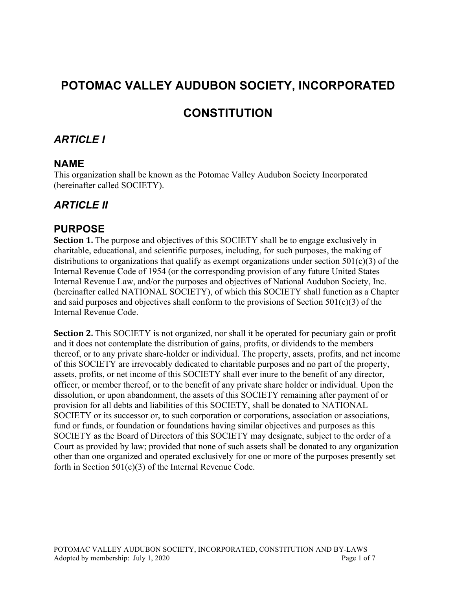# **POTOMAC VALLEY AUDUBON SOCIETY, INCORPORATED**

# **CONSTITUTION**

### *ARTICLE I*

#### **NAME**

This organization shall be known as the Potomac Valley Audubon Society Incorporated (hereinafter called SOCIETY).

### *ARTICLE II*

#### **PURPOSE**

**Section 1.** The purpose and objectives of this SOCIETY shall be to engage exclusively in charitable, educational, and scientific purposes, including, for such purposes, the making of distributions to organizations that qualify as exempt organizations under section  $501(c)(3)$  of the Internal Revenue Code of 1954 (or the corresponding provision of any future United States Internal Revenue Law, and/or the purposes and objectives of National Audubon Society, Inc. (hereinafter called NATIONAL SOCIETY), of which this SOCIETY shall function as a Chapter and said purposes and objectives shall conform to the provisions of Section 501(c)(3) of the Internal Revenue Code.

**Section 2.** This SOCIETY is not organized, nor shall it be operated for pecuniary gain or profit and it does not contemplate the distribution of gains, profits, or dividends to the members thereof, or to any private share-holder or individual. The property, assets, profits, and net income of this SOCIETY are irrevocably dedicated to charitable purposes and no part of the property, assets, profits, or net income of this SOCIETY shall ever inure to the benefit of any director, officer, or member thereof, or to the benefit of any private share holder or individual. Upon the dissolution, or upon abandonment, the assets of this SOCIETY remaining after payment of or provision for all debts and liabilities of this SOCIETY, shall be donated to NATIONAL SOCIETY or its successor or, to such corporation or corporations, association or associations, fund or funds, or foundation or foundations having similar objectives and purposes as this SOCIETY as the Board of Directors of this SOCIETY may designate, subject to the order of a Court as provided by law; provided that none of such assets shall be donated to any organization other than one organized and operated exclusively for one or more of the purposes presently set forth in Section 501(c)(3) of the Internal Revenue Code.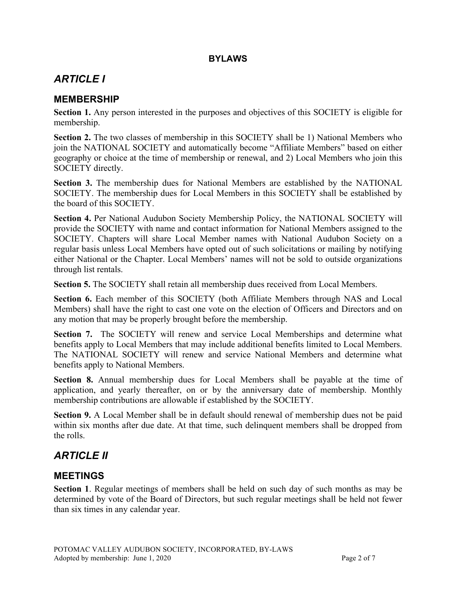#### **BYLAWS**

# *ARTICLE I*

#### **MEMBERSHIP**

**Section 1.** Any person interested in the purposes and objectives of this SOCIETY is eligible for membership.

**Section 2.** The two classes of membership in this SOCIETY shall be 1) National Members who join the NATIONAL SOCIETY and automatically become "Affiliate Members" based on either geography or choice at the time of membership or renewal, and 2) Local Members who join this SOCIETY directly.

**Section 3.** The membership dues for National Members are established by the NATIONAL SOCIETY. The membership dues for Local Members in this SOCIETY shall be established by the board of this SOCIETY.

**Section 4.** Per National Audubon Society Membership Policy, the NATIONAL SOCIETY will provide the SOCIETY with name and contact information for National Members assigned to the SOCIETY. Chapters will share Local Member names with National Audubon Society on a regular basis unless Local Members have opted out of such solicitations or mailing by notifying either National or the Chapter. Local Members' names will not be sold to outside organizations through list rentals.

**Section 5.** The SOCIETY shall retain all membership dues received from Local Members.

**Section 6.** Each member of this SOCIETY (both Affiliate Members through NAS and Local Members) shall have the right to cast one vote on the election of Officers and Directors and on any motion that may be properly brought before the membership.

**Section 7.** The SOCIETY will renew and service Local Memberships and determine what benefits apply to Local Members that may include additional benefits limited to Local Members. The NATIONAL SOCIETY will renew and service National Members and determine what benefits apply to National Members.

**Section 8.** Annual membership dues for Local Members shall be payable at the time of application, and yearly thereafter, on or by the anniversary date of membership. Monthly membership contributions are allowable if established by the SOCIETY.

**Section 9.** A Local Member shall be in default should renewal of membership dues not be paid within six months after due date. At that time, such delinquent members shall be dropped from the rolls.

# *ARTICLE II*

#### **MEETINGS**

**Section 1**. Regular meetings of members shall be held on such day of such months as may be determined by vote of the Board of Directors, but such regular meetings shall be held not fewer than six times in any calendar year.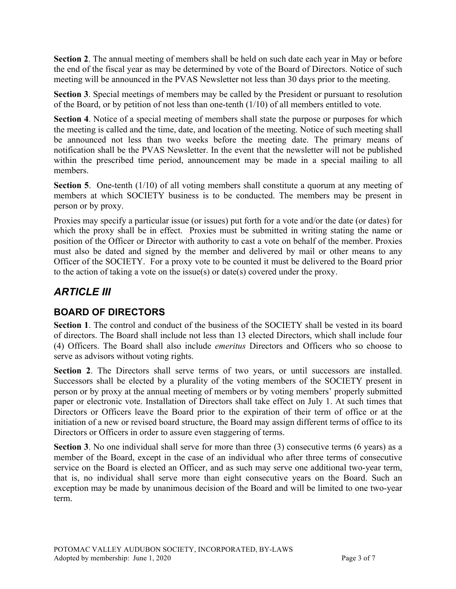**Section 2.** The annual meeting of members shall be held on such date each year in May or before the end of the fiscal year as may be determined by vote of the Board of Directors. Notice of such meeting will be announced in the PVAS Newsletter not less than 30 days prior to the meeting.

**Section 3**. Special meetings of members may be called by the President or pursuant to resolution of the Board, or by petition of not less than one-tenth (1/10) of all members entitled to vote.

**Section 4**. Notice of a special meeting of members shall state the purpose or purposes for which the meeting is called and the time, date, and location of the meeting. Notice of such meeting shall be announced not less than two weeks before the meeting date. The primary means of notification shall be the PVAS Newsletter. In the event that the newsletter will not be published within the prescribed time period, announcement may be made in a special mailing to all members.

**Section 5**. One-tenth (1/10) of all voting members shall constitute a quorum at any meeting of members at which SOCIETY business is to be conducted. The members may be present in person or by proxy.

Proxies may specify a particular issue (or issues) put forth for a vote and/or the date (or dates) for which the proxy shall be in effect. Proxies must be submitted in writing stating the name or position of the Officer or Director with authority to cast a vote on behalf of the member. Proxies must also be dated and signed by the member and delivered by mail or other means to any Officer of the SOCIETY. For a proxy vote to be counted it must be delivered to the Board prior to the action of taking a vote on the issue(s) or date(s) covered under the proxy.

## *ARTICLE III*

### **BOARD OF DIRECTORS**

**Section 1**. The control and conduct of the business of the SOCIETY shall be vested in its board of directors. The Board shall include not less than 13 elected Directors, which shall include four (4) Officers. The Board shall also include *emeritus* Directors and Officers who so choose to serve as advisors without voting rights.

**Section 2**. The Directors shall serve terms of two years, or until successors are installed. Successors shall be elected by a plurality of the voting members of the SOCIETY present in person or by proxy at the annual meeting of members or by voting members' properly submitted paper or electronic vote. Installation of Directors shall take effect on July 1. At such times that Directors or Officers leave the Board prior to the expiration of their term of office or at the initiation of a new or revised board structure, the Board may assign different terms of office to its Directors or Officers in order to assure even staggering of terms.

**Section 3**. No one individual shall serve for more than three (3) consecutive terms (6 years) as a member of the Board, except in the case of an individual who after three terms of consecutive service on the Board is elected an Officer, and as such may serve one additional two-year term, that is, no individual shall serve more than eight consecutive years on the Board. Such an exception may be made by unanimous decision of the Board and will be limited to one two-year term.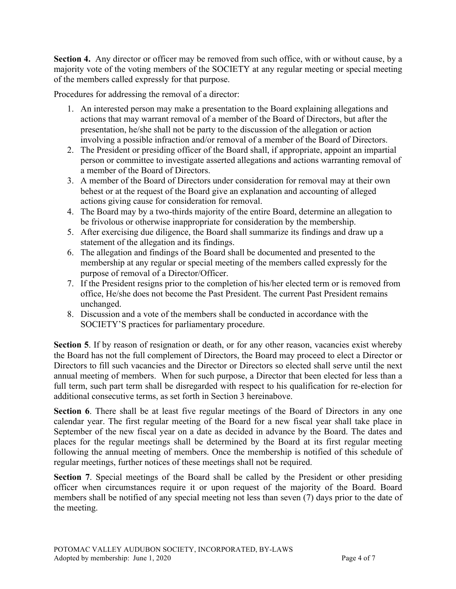**Section 4.** Any director or officer may be removed from such office, with or without cause, by a majority vote of the voting members of the SOCIETY at any regular meeting or special meeting of the members called expressly for that purpose.

Procedures for addressing the removal of a director:

- 1. An interested person may make a presentation to the Board explaining allegations and actions that may warrant removal of a member of the Board of Directors, but after the presentation, he/she shall not be party to the discussion of the allegation or action involving a possible infraction and/or removal of a member of the Board of Directors.
- 2. The President or presiding officer of the Board shall, if appropriate, appoint an impartial person or committee to investigate asserted allegations and actions warranting removal of a member of the Board of Directors.
- 3. A member of the Board of Directors under consideration for removal may at their own behest or at the request of the Board give an explanation and accounting of alleged actions giving cause for consideration for removal.
- 4. The Board may by a two-thirds majority of the entire Board, determine an allegation to be frivolous or otherwise inappropriate for consideration by the membership.
- 5. After exercising due diligence, the Board shall summarize its findings and draw up a statement of the allegation and its findings.
- 6. The allegation and findings of the Board shall be documented and presented to the membership at any regular or special meeting of the members called expressly for the purpose of removal of a Director/Officer.
- 7. If the President resigns prior to the completion of his/her elected term or is removed from office, He/she does not become the Past President. The current Past President remains unchanged.
- 8. Discussion and a vote of the members shall be conducted in accordance with the SOCIETY'S practices for parliamentary procedure.

**Section 5**. If by reason of resignation or death, or for any other reason, vacancies exist whereby the Board has not the full complement of Directors, the Board may proceed to elect a Director or Directors to fill such vacancies and the Director or Directors so elected shall serve until the next annual meeting of members. When for such purpose, a Director that been elected for less than a full term, such part term shall be disregarded with respect to his qualification for re-election for additional consecutive terms, as set forth in Section 3 hereinabove.

**Section 6**. There shall be at least five regular meetings of the Board of Directors in any one calendar year. The first regular meeting of the Board for a new fiscal year shall take place in September of the new fiscal year on a date as decided in advance by the Board. The dates and places for the regular meetings shall be determined by the Board at its first regular meeting following the annual meeting of members. Once the membership is notified of this schedule of regular meetings, further notices of these meetings shall not be required.

**Section 7**. Special meetings of the Board shall be called by the President or other presiding officer when circumstances require it or upon request of the majority of the Board. Board members shall be notified of any special meeting not less than seven (7) days prior to the date of the meeting.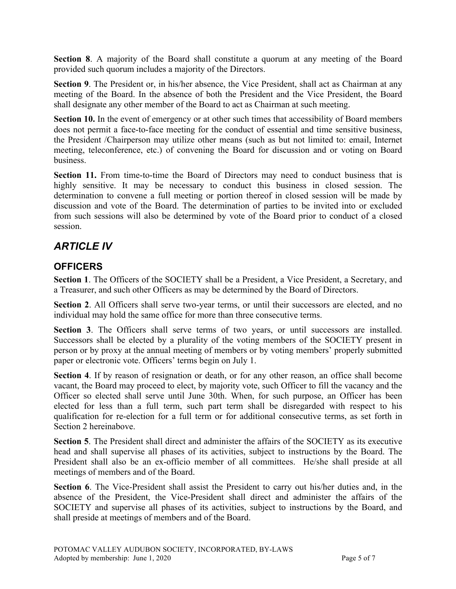**Section 8**. A majority of the Board shall constitute a quorum at any meeting of the Board provided such quorum includes a majority of the Directors.

**Section 9.** The President or, in his/her absence, the Vice President, shall act as Chairman at any meeting of the Board. In the absence of both the President and the Vice President, the Board shall designate any other member of the Board to act as Chairman at such meeting.

**Section 10.** In the event of emergency or at other such times that accessibility of Board members does not permit a face-to-face meeting for the conduct of essential and time sensitive business, the President /Chairperson may utilize other means (such as but not limited to: email, Internet meeting, teleconference, etc.) of convening the Board for discussion and or voting on Board business.

**Section 11.** From time-to-time the Board of Directors may need to conduct business that is highly sensitive. It may be necessary to conduct this business in closed session. The determination to convene a full meeting or portion thereof in closed session will be made by discussion and vote of the Board. The determination of parties to be invited into or excluded from such sessions will also be determined by vote of the Board prior to conduct of a closed session.

## *ARTICLE IV*

### **OFFICERS**

**Section 1**. The Officers of the SOCIETY shall be a President, a Vice President, a Secretary, and a Treasurer, and such other Officers as may be determined by the Board of Directors.

**Section 2**. All Officers shall serve two-year terms, or until their successors are elected, and no individual may hold the same office for more than three consecutive terms.

Section 3. The Officers shall serve terms of two years, or until successors are installed. Successors shall be elected by a plurality of the voting members of the SOCIETY present in person or by proxy at the annual meeting of members or by voting members' properly submitted paper or electronic vote. Officers' terms begin on July 1.

**Section 4**. If by reason of resignation or death, or for any other reason, an office shall become vacant, the Board may proceed to elect, by majority vote, such Officer to fill the vacancy and the Officer so elected shall serve until June 30th. When, for such purpose, an Officer has been elected for less than a full term, such part term shall be disregarded with respect to his qualification for re-election for a full term or for additional consecutive terms, as set forth in Section 2 hereinabove.

**Section 5**. The President shall direct and administer the affairs of the SOCIETY as its executive head and shall supervise all phases of its activities, subject to instructions by the Board. The President shall also be an ex-officio member of all committees. He/she shall preside at all meetings of members and of the Board.

**Section 6**. The Vice-President shall assist the President to carry out his/her duties and, in the absence of the President, the Vice-President shall direct and administer the affairs of the SOCIETY and supervise all phases of its activities, subject to instructions by the Board, and shall preside at meetings of members and of the Board.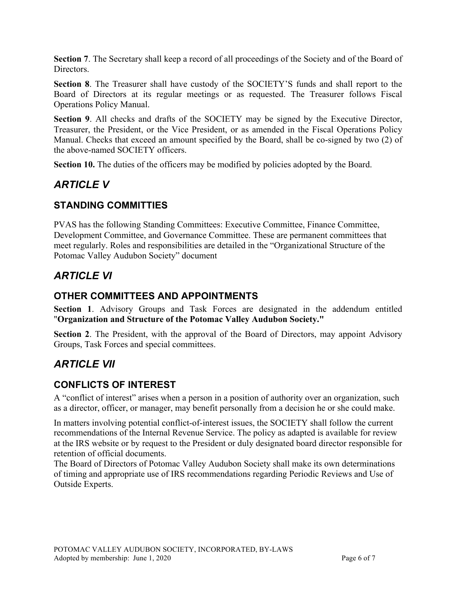**Section 7**. The Secretary shall keep a record of all proceedings of the Society and of the Board of **Directors** 

**Section 8**. The Treasurer shall have custody of the SOCIETY'S funds and shall report to the Board of Directors at its regular meetings or as requested. The Treasurer follows Fiscal Operations Policy Manual.

**Section 9**. All checks and drafts of the SOCIETY may be signed by the Executive Director, Treasurer, the President, or the Vice President, or as amended in the Fiscal Operations Policy Manual. Checks that exceed an amount specified by the Board, shall be co-signed by two (2) of the above-named SOCIETY officers.

**Section 10.** The duties of the officers may be modified by policies adopted by the Board.

# *ARTICLE V*

#### **STANDING COMMITTIES**

PVAS has the following Standing Committees: Executive Committee, Finance Committee, Development Committee, and Governance Committee. These are permanent committees that meet regularly. Roles and responsibilities are detailed in the "Organizational Structure of the Potomac Valley Audubon Society" document

## *ARTICLE VI*

#### **OTHER COMMITTEES AND APPOINTMENTS**

**Section 1**. Advisory Groups and Task Forces are designated in the addendum entitled "**Organization and Structure of the Potomac Valley Audubon Society."**

**Section 2**. The President, with the approval of the Board of Directors, may appoint Advisory Groups, Task Forces and special committees.

## *ARTICLE VII*

#### **CONFLICTS OF INTEREST**

A "conflict of interest" arises when a person in a position of authority over an organization, such as a director, officer, or manager, may benefit personally from a decision he or she could make.

In matters involving potential conflict-of-interest issues, the SOCIETY shall follow the current recommendations of the Internal Revenue Service. The policy as adapted is available for review at the IRS website or by request to the President or duly designated board director responsible for retention of official documents.

The Board of Directors of Potomac Valley Audubon Society shall make its own determinations of timing and appropriate use of IRS recommendations regarding Periodic Reviews and Use of Outside Experts.